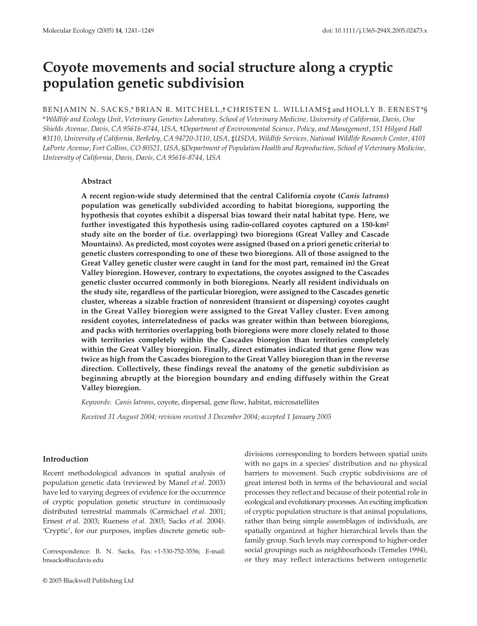# **Coyote movements and social structure along a cryptic population genetic subdivision**

BENJAMIN N. SACKS,\* BRIAN R. MITCHELL,† CHRISTEN L. WILLIAMS‡ and HOLLY B. ERNEST\*§ \**Wildlife and Ecology Unit, Veterinary Genetics Laboratory, School of Veterinary Medicine, University of California, Davis, One Shields Avenue, Davis, CA 95616-8744, USA,* †*Department of Environmental Science, Policy, and Management, 151 Hilgard Hall #3110, University of California, Berkeley, CA 94720-3110, USA,* ‡*USDA, Wildlife Services, National Wildlife Research Center, 4101 LaPorte Avenue, Fort Collins, CO 80521, USA,* §*Department of Population Health and Reproduction, School of Veterinary Medicine, University of California, Davis, Davis, CA 95616-8744, USA* 

## **Abstract**

**A recent region-wide study determined that the central California coyote (***Canis latrans***) population was genetically subdivided according to habitat bioregions, supporting the hypothesis that coyotes exhibit a dispersal bias toward their natal habitat type. Here, we further investigated this hypothesis using radio-collared coyotes captured on a 150-km2 study site on the border of (i.e. overlapping) two bioregions (Great Valley and Cascade Mountains). As predicted, most coyotes were assigned (based on a priori genetic criteria) to genetic clusters corresponding to one of these two bioregions. All of those assigned to the Great Valley genetic cluster were caught in (and for the most part, remained in) the Great Valley bioregion. However, contrary to expectations, the coyotes assigned to the Cascades genetic cluster occurred commonly in both bioregions. Nearly all resident individuals on the study site, regardless of the particular bioregion, were assigned to the Cascades genetic cluster, whereas a sizable fraction of nonresident (transient or dispersing) coyotes caught in the Great Valley bioregion were assigned to the Great Valley cluster. Even among resident coyotes, interrelatedness of packs was greater within than between bioregions, and packs with territories overlapping both bioregions were more closely related to those with territories completely within the Cascades bioregion than territories completely within the Great Valley bioregion. Finally, direct estimates indicated that gene flow was twice as high from the Cascades bioregion to the Great Valley bioregion than in the reverse direction. Collectively, these findings reveal the anatomy of the genetic subdivision as beginning abruptly at the bioregion boundary and ending diffusely within the Great Valley bioregion.** 

*Keywords*: *Canis latrans*, coyote, dispersal, gene flow, habitat, microsatellites

*Received 31 August 2004; revision received 3 December 2004; accepted 1 January 2005* 

## **Introduction**

Recent methodological advances in spatial analysis of population genetic data (reviewed by Manel *et al*. 2003) have led to varying degrees of evidence for the occurrence of cryptic population genetic structure in continuously distributed terrestrial mammals (Carmichael *et al*. 2001; Ernest *et al*. 2003; Rueness *et al*. 2003; Sacks *et al*. 2004). 'Cryptic', for our purposes, implies discrete genetic sub-

Correspondence: B. N. Sacks, Fax: +1-530-752-3556; E-mail: [bnsacks@ucdavis.edu](mailto:bnsacks@ucdavis.edu)

divisions corresponding to borders between spatial units with no gaps in a species' distribution and no physical barriers to movement. Such cryptic subdivisions are of great interest both in terms of the behavioural and social processes they reflect and because of their potential role in ecological and evolutionary processes. An exciting implication of cryptic population structure is that animal populations, rather than being simple assemblages of individuals, are spatially organized at higher hierarchical levels than the family group. Such levels may correspond to higher-order social groupings such as neighbourhoods (Temeles 1994), or they may reflect interactions between ontogenetic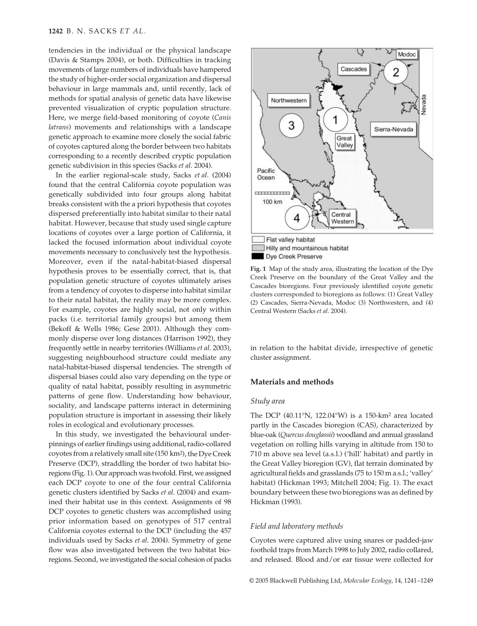tendencies in the individual or the physical landscape (Davis & Stamps 2004), or both. Difficulties in tracking movements of large numbers of individuals have hampered the study of higher-order social organization and dispersal behaviour in large mammals and, until recently, lack of methods for spatial analysis of genetic data have likewise prevented visualization of cryptic population structure. Here, we merge field-based monitoring of coyote (*Canis latrans*) movements and relationships with a landscape genetic approach to examine more closely the social fabric of coyotes captured along the border between two habitats corresponding to a recently described cryptic population genetic subdivision in this species (Sacks *et al*. 2004).

In the earlier regional-scale study, Sacks *et al*. (2004) found that the central California coyote population was genetically subdivided into four groups along habitat breaks consistent with the a priori hypothesis that coyotes dispersed preferentially into habitat similar to their natal habitat. However, because that study used single capture locations of coyotes over a large portion of California, it lacked the focused information about individual coyote movements necessary to conclusively test the hypothesis. Moreover, even if the natal-habitat-biased dispersal hypothesis proves to be essentially correct, that is, that population genetic structure of coyotes ultimately arises from a tendency of coyotes to disperse into habitat similar to their natal habitat, the reality may be more complex. For example, coyotes are highly social, not only within packs (i.e. territorial family groups) but among them (Bekoff & Wells 1986; Gese 2001). Although they commonly disperse over long distances (Harrison 1992), they frequently settle in nearby territories (Williams *et al*. 2003), suggesting neighbourhood structure could mediate any natal-habitat-biased dispersal tendencies. The strength of dispersal biases could also vary depending on the type or quality of natal habitat, possibly resulting in asymmetric patterns of gene flow. Understanding how behaviour, sociality, and landscape patterns interact in determining population structure is important in assessing their likely roles in ecological and evolutionary processes.

In this study, we investigated the behavioural underpinnings of earlier findings using additional, radio-collared coyotes from a relatively small site (150 km2), the Dye Creek Preserve (DCP), straddling the border of two habitat bioregions (Fig. 1). Our approach was twofold. First, we assigned each DCP coyote to one of the four central California genetic clusters identified by Sacks *et al*. (2004) and examined their habitat use in this context. Assignments of 98 DCP coyotes to genetic clusters was accomplished using prior information based on genotypes of 517 central California coyotes external to the DCP (including the 457 individuals used by Sacks *et al*. 2004). Symmetry of gene flow was also investigated between the two habitat bioregions. Second, we investigated the social cohesion of packs



**Fig. 1** Map of the study area, illustrating the location of the Dye Creek Preserve on the boundary of the Great Valley and the Cascades bioregions. Four previously identified coyote genetic clusters corresponded to bioregions as follows: (1) Great Valley (2) Cascades, Sierra-Nevada, Modoc (3) Northwestern, and (4) Central Western (Sacks *et al*. 2004).

in relation to the habitat divide, irrespective of genetic cluster assignment.

## **Materials and methods**

#### *Study area*

The DCP (40.11°N, 122.04°W) is a 150-km2 area located partly in the Cascades bioregion (CAS), characterized by blue-oak (*Quercus douglassii*) woodland and annual grassland vegetation on rolling hills varying in altitude from 150 to 710 m above sea level (a.s.l.) ('hill' habitat) and partly in the Great Valley bioregion (GV), flat terrain dominated by agricultural fields and grasslands (75 to 150 m a.s.l.; 'valley' habitat) (Hickman 1993; Mitchell 2004; Fig. 1). The exact boundary between these two bioregions was as defined by Hickman (1993).

#### *Field and laboratory methods*

Coyotes were captured alive using snares or padded-jaw foothold traps from March 1998 to July 2002, radio collared, and released. Blood and/or ear tissue were collected for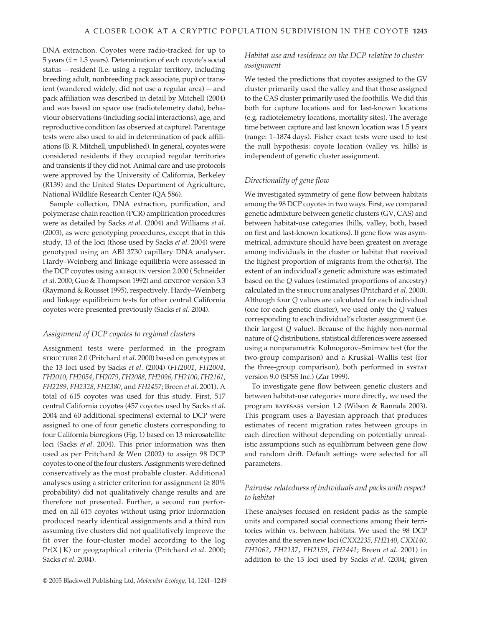DNA extraction. Coyotes were radio-tracked for up to 5 years ( $\bar{x}$  = 1.5 years). Determination of each coyote's social status — resident (i.e. using a regular territory, including breeding adult, nonbreeding pack associate, pup) or transient (wandered widely, did not use a regular area) — and pack affiliation was described in detail by Mitchell (2004) and was based on space use (radiotelemetry data), behaviour observations (including social interactions), age, and reproductive condition (as observed at capture). Parentage tests were also used to aid in determination of pack affiliations (B. R. Mitchell, unpublished). In general, coyotes were considered residents if they occupied regular territories and transients if they did not. Animal care and use protocols were approved by the University of California, Berkeley (R139) and the United States Department of Agriculture, National Wildlife Research Center (QA 586).

Sample collection, DNA extraction, purification, and polymerase chain reaction (PCR) amplification procedures were as detailed by Sacks *et al*. (2004) and Williams *et al*. (2003), as were genotyping procedures, except that in this study, 13 of the loci (those used by Sacks *et al*. 2004) were genotyped using an ABI 3730 capillary DNA analyser. Hardy–Weinberg and linkage equilibria were assessed in the DCP coyotes using ARLEQUIN version 2.000 (Schneider *et al*. 2000; Guo & Thompson 1992) and genepop version 3.3 (Raymond & Rousset 1995), respectively. Hardy–Weinberg and linkage equilibrium tests for other central California coyotes were presented previously (Sacks *et al*. 2004).

#### *Assignment of DCP coyotes to regional clusters*

Assignment tests were performed in the program structure 2.0 (Pritchard *et al*. 2000) based on genotypes at the 13 loci used by Sacks *et al*. (2004) (*FH2001*, *FH2004*, *FH2010*, *FH2054*, *FH2079*, *FH2088*, *FH2096*, *FH2100*, *FH2161*, *FH2289*, *FH2328*, *FH2380*, and *FH2457*; Breen *et al*. 2001). A total of 615 coyotes was used for this study. First, 517 central California coyotes (457 coyotes used by Sacks *et al*. 2004 and 60 additional specimens) external to DCP were assigned to one of four genetic clusters corresponding to four California bioregions (Fig. 1) based on 13 microsatellite loci (Sacks *et al*. 2004). This prior information was then used as per Pritchard & Wen (2002) to assign 98 DCP coyotes to one of the four clusters. Assignments were defined conservatively as the most probable cluster. Additional analyses using a stricter criterion for assignment ( $\geq 80\%$ probability) did not qualitatively change results and are therefore not presented. Further, a second run performed on all 615 coyotes without using prior information produced nearly identical assignments and a third run assuming five clusters did not qualitatively improve the fit over the four-cluster model according to the log Pr(X | K) or geographical criteria (Pritchard *et al*. 2000; Sacks *et al*. 2004).

# *Habitat use and residence on the DCP relative to cluster assignment*

We tested the predictions that coyotes assigned to the GV cluster primarily used the valley and that those assigned to the CAS cluster primarily used the foothills. We did this both for capture locations and for last-known locations (e.g. radiotelemetry locations, mortality sites). The average time between capture and last known location was 1.5 years (range: 1–1874 days). Fisher exact tests were used to test the null hypothesis: coyote location (valley vs. hills) is independent of genetic cluster assignment.

#### *Directionality of gene flow*

We investigated symmetry of gene flow between habitats among the 98 DCP coyotes in two ways. First, we compared genetic admixture between genetic clusters (GV, CAS) and between habitat-use categories (hills, valley, both, based on first and last-known locations). If gene flow was asymmetrical, admixture should have been greatest on average among individuals in the cluster or habitat that received the highest proportion of migrants from the other(s). The extent of an individual's genetic admixture was estimated based on the *Q* values (estimated proportions of ancestry) calculated in the sTRUCTURE analyses (Pritchard et al. 2000). Although four *Q* values are calculated for each individual (one for each genetic cluster), we used only the *Q* values corresponding to each individual's cluster assignment (i.e. their largest *Q* value). Because of the highly non-normal nature of *Q* distributions, statistical differences were assessed using a nonparametric Kolmogorov–Smirnov test (for the two-group comparison) and a Kruskal–Wallis test (for the three-group comparison), both performed in SYSTAT version 9.0 (SPSS Inc.) (Zar 1999).

To investigate gene flow between genetic clusters and between habitat-use categories more directly, we used the program bayesass version 1.2 (Wilson & Rannala 2003). This program uses a Bayesian approach that produces estimates of recent migration rates between groups in each direction without depending on potentially unrealistic assumptions such as equilibrium between gene flow and random drift. Default settings were selected for all parameters.

## *Pairwise relatedness of individuals and packs with respect to habitat*

These analyses focused on resident packs as the sample units and compared social connections among their territories within vs. between habitats. We used the 98 DCP coyotes and the seven new loci (*CXX2235*, *FH2140*, *CXX140*, *FH2062*, *FH2137*, *FH2159*, *FH2441*; Breen *et al*. 2001) in addition to the 13 loci used by Sacks *et al*. (2004; given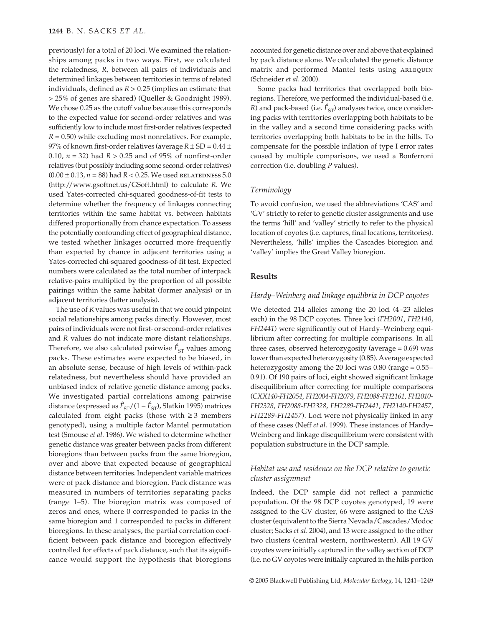previously) for a total of 20 loci. We examined the relationships among packs in two ways. First, we calculated the relatedness, *R*, between all pairs of individuals and determined linkages between territories in terms of related individuals, defined as  $R > 0.25$  (implies an estimate that > 25% of genes are shared) (Queller & Goodnight 1989). We chose 0.25 as the cutoff value because this corresponds to the expected value for second-order relatives and was sufficiently low to include most first-order relatives (expected  $R = 0.50$ ) while excluding most nonrelatives. For example, 97% of known first-order relatives (average *R* ± SD = 0.44 ± 0.10, *n* = 32) had *R* > 0.25 and of 95% of nonfirst-order relatives (but possibly including some second-order relatives)  $(0.00 \pm 0.13, n = 88)$  had  $R < 0.25$ . We used RELATEDNESS 5.0 (<http://www.gsoftnet.us/GSoft.html>) to calculate *R*. We used Yates-corrected chi-squared goodness-of-fit tests to determine whether the frequency of linkages connecting territories within the same habitat vs. between habitats differed proportionally from chance expectation. To assess the potentially confounding effect of geographical distance, we tested whether linkages occurred more frequently than expected by chance in adjacent territories using a Yates-corrected chi-squared goodness-of-fit test. Expected numbers were calculated as the total number of interpack relative-pairs multiplied by the proportion of all possible pairings within the same habitat (former analysis) or in adjacent territories (latter analysis).

The use of *R* values was useful in that we could pinpoint social relationships among packs directly. However, most pairs of individuals were not first- or second-order relatives and *R* values do not indicate more distant relationships. Therefore, we also calculated pairwise  $\hat{F}_{ST}$  values among packs. These estimates were expected to be biased, in an absolute sense, because of high levels of within-pack relatedness, but nevertheless should have provided an unbiased index of relative genetic distance among packs. We investigated partial correlations among pairwise distance (expressed as  $\hat{F}_{ST}/(1 - \hat{F}_{ST})$ , Slatkin 1995) matrices calculated from eight packs (those with  $\geq$  3 members genotyped), using a multiple factor Mantel permutation test (Smouse *et al*. 1986). We wished to determine whether genetic distance was greater between packs from different bioregions than between packs from the same bioregion, over and above that expected because of geographical distance between territories. Independent variable matrices were of pack distance and bioregion. Pack distance was measured in numbers of territories separating packs (range 1–5). The bioregion matrix was composed of zeros and ones, where 0 corresponded to packs in the same bioregion and 1 corresponded to packs in different bioregions. In these analyses, the partial correlation coefficient between pack distance and bioregion effectively controlled for effects of pack distance, such that its significance would support the hypothesis that bioregions

accounted for genetic distance over and above that explained by pack distance alone. We calculated the genetic distance matrix and performed Mantel tests using ARLEQUIN (Schneider *et al*. 2000).

Some packs had territories that overlapped both bioregions. Therefore, we performed the individual-based (i.e. *R*) and pack-based (i.e.  $\hat{F}_{ST}$ ) analyses twice, once considering packs with territories overlapping both habitats to be in the valley and a second time considering packs with territories overlapping both habitats to be in the hills. To compensate for the possible inflation of type I error rates caused by multiple comparisons, we used a Bonferroni correction (i.e. doubling *P* values).

#### *Terminology*

To avoid confusion, we used the abbreviations 'CAS' and 'GV' strictly to refer to genetic cluster assignments and use the terms 'hill' and 'valley' strictly to refer to the physical location of coyotes (i.e. captures, final locations, territories). Nevertheless, 'hills' implies the Cascades bioregion and 'valley' implies the Great Valley bioregion.

## **Results**

#### *Hardy–Weinberg and linkage equilibria in DCP coyotes*

We detected 214 alleles among the 20 loci (4–23 alleles each) in the 98 DCP coyotes. Three loci (*FH2001*, *FH2140*, *FH2441*) were significantly out of Hardy–Weinberg equilibrium after correcting for multiple comparisons. In all three cases, observed heterozygosity (average  $= 0.69$ ) was lower than expected heterozygosity (0.85). Average expected heterozygosity among the 20 loci was 0.80 (range = 0.55– 0.91). Of 190 pairs of loci, eight showed significant linkage disequilibrium after correcting for multiple comparisons (*CXX140*-*FH2054*, *FH2004*-*FH2079*, *FH2088*-*FH2161*, *FH2010*- *FH2328*, *FH2088*-*FH2328*, *FH2289*-*FH2441*, *FH2140*-*FH2457*, *FH2289*-*FH2457*). Loci were not physically linked in any of these cases (Neff *et al*. 1999). These instances of Hardy– Weinberg and linkage disequilibrium were consistent with population substructure in the DCP sample.

## *Habitat use and residence on the DCP relative to genetic cluster assignment*

Indeed, the DCP sample did not reflect a panmictic population. Of the 98 DCP coyotes genotyped, 19 were assigned to the GV cluster, 66 were assigned to the CAS cluster (equivalent to the Sierra Nevada/Cascades/Modoc cluster; Sacks *et al*. 2004), and 13 were assigned to the other two clusters (central western, northwestern). All 19 GV coyotes were initially captured in the valley section of DCP (i.e. no GV coyotes were initially captured in the hills portion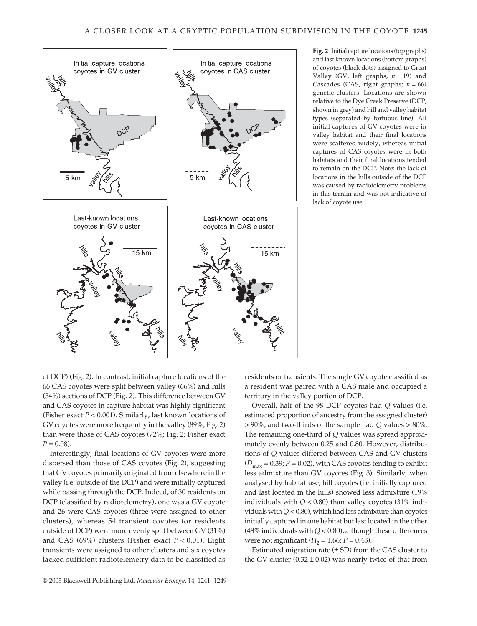

**Fig. 2** Initial capture locations (top graphs) and last known locations (bottom graphs) of coyotes (black dots) assigned to Great Valley (GV, left graphs,  $n = 19$ ) and Cascades (CAS, right graphs;  $n = 66$ ) genetic clusters. Locations are shown relative to the Dye Creek Preserve (DCP, shown in grey) and hill and valley habitat types (separated by tortuous line). All initial captures of GV coyotes were in valley habitat and their final locations were scattered widely, whereas initial captures of CAS coyotes were in both habitats and their final locations tended to remain on the DCP. Note: the lack of locations in the hills outside of the DCP was caused by radiotelemetry problems in this terrain and was not indicative of lack of coyote use.

of DCP) (Fig. 2). In contrast, initial capture locations of the 66 CAS coyotes were split between valley (66%) and hills (34%) sections of DCP (Fig. 2). This difference between GV and CAS coyotes in capture habitat was highly significant (Fisher exact *P* < 0.001). Similarly, last known locations of GV coyotes were more frequently in the valley (89%; Fig. 2) than were those of CAS coyotes (72%; Fig. 2; Fisher exact  $P = 0.08$ .

Interestingly, final locations of GV coyotes were more dispersed than those of CAS coyotes (Fig. 2), suggesting that GV coyotes primarily originated from elsewhere in the valley (i.e. outside of the DCP) and were initially captured while passing through the DCP. Indeed, of 30 residents on DCP (classified by radiotelemetry), one was a GV coyote and 26 were CAS coyotes (three were assigned to other clusters), whereas 54 transient coyotes (or residents outside of DCP) were more evenly split between GV (31%) and CAS (69%) clusters (Fisher exact *P* < 0.01). Eight transients were assigned to other clusters and six coyotes lacked sufficient radiotelemetry data to be classified as

residents or transients. The single GV coyote classified as a resident was paired with a CAS male and occupied a territory in the valley portion of DCP.

Overall, half of the 98 DCP coyotes had *Q* values (i.e. estimated proportion of ancestry from the assigned cluster) > 90%, and two-thirds of the sample had *Q* values > 80%. The remaining one-third of *Q* values was spread approximately evenly between 0.25 and 0.80. However, distributions of *Q* values differed between CAS and GV clusters  $(D_{\text{max}} = 0.39; P = 0.02)$ , with CAS coyotes tending to exhibit less admixture than GV coyotes (Fig. 3). Similarly, when analysed by habitat use, hill coyotes (i.e. initially captured and last located in the hills) showed less admixture (19% individuals with *Q* < 0.80) than valley coyotes (31% individuals with *Q* < 0.80), which had less admixture than coyotes initially captured in one habitat but last located in the other (48% individuals with *Q* < 0.80), although these differences were not significant  $(H_2 = 1.66; P = 0.43)$ .

Estimated migration rate (± SD) from the CAS cluster to the GV cluster  $(0.32 \pm 0.02)$  was nearly twice of that from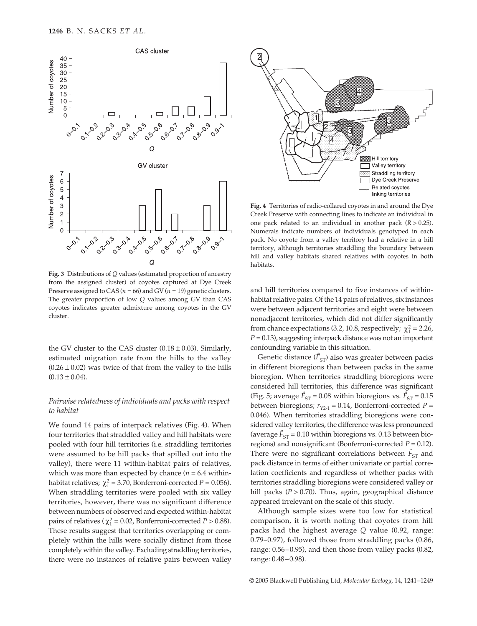

**Fig. 3** Distributions of *Q* values (estimated proportion of ancestry from the assigned cluster) of coyotes captured at Dye Creek Preserve assigned to CAS (*n* = 66) and GV (*n* = 19) genetic clusters. The greater proportion of low *Q* values among GV than CAS coyotes indicates greater admixture among coyotes in the GV cluster.

the GV cluster to the CAS cluster  $(0.18 \pm 0.03)$ . Similarly, estimated migration rate from the hills to the valley  $(0.26 \pm 0.02)$  was twice of that from the valley to the hills  $(0.13 \pm 0.04)$ .

## *Pairwise relatedness of individuals and packs with respect to habitat*

We found 14 pairs of interpack relatives (Fig. 4). When four territories that straddled valley and hill habitats were pooled with four hill territories (i.e. straddling territories were assumed to be hill packs that spilled out into the valley), there were 11 within-habitat pairs of relatives, which was more than expected by chance  $(n = 6.4$  withinhabitat relatives;  $\chi_1^2 = 3.70$ , Bonferroni-corrected  $P = 0.056$ ). When straddling territories were pooled with six valley territories, however, there was no significant difference between numbers of observed and expected within-habitat pairs of relatives ( $\chi_1^2 = 0.02$ , Bonferroni-corrected *P* > 0.88). These results suggest that territories overlapping or completely within the hills were socially distinct from those completely within the valley. Excluding straddling territories, there were no instances of relative pairs between valley



**Fig. 4** Territories of radio-collared coyotes in and around the Dye Creek Preserve with connecting lines to indicate an individual in one pack related to an individual in another pack  $(R > 0.25)$ . Numerals indicate numbers of individuals genotyped in each pack. No coyote from a valley territory had a relative in a hill territory, although territories straddling the boundary between hill and valley habitats shared relatives with coyotes in both habitats.

and hill territories compared to five instances of withinhabitat relative pairs. Of the 14 pairs of relatives, six instances were between adjacent territories and eight were between nonadjacent territories, which did not differ significantly from chance expectations (3.2, 10.8, respectively;  $\chi^2_1 = 2.26$ , *P* = 0.13), suggesting interpack distance was not an important confounding variable in this situation.

Genetic distance ( $\hat{F}_{ST}$ ) also was greater between packs in different bioregions than between packs in the same bioregion. When territories straddling bioregions were considered hill territories, this difference was significant (Fig. 5; average  $\hat{F}_{ST}$  = 0.08 within bioregions vs.  $\hat{F}_{ST}$  = 0.15 between bioregions;  $r_{Y2-1} = 0.14$ , Bonferroni-corrected  $P =$ 0.046). When territories straddling bioregions were considered valley territories, the difference was less pronounced (average  $\hat{F}_{ST}$  = 0.10 within bioregions vs. 0.13 between bioregions) and nonsignificant (Bonferroni-corrected  $P = 0.12$ ). There were no significant correlations between  $\hat{F}_{ST}$  and pack distance in terms of either univariate or partial correlation coefficients and regardless of whether packs with territories straddling bioregions were considered valley or hill packs (*P* > 0.70). Thus, again, geographical distance appeared irrelevant on the scale of this study.

Although sample sizes were too low for statistical comparison, it is worth noting that coyotes from hill packs had the highest average *Q* value (0.92, range: [0.79–0.97](https://0.79�0.97)), followed those from straddling packs (0.86, range: [0.56–0.95](https://0.56�0.95)), and then those from valley packs (0.82, range: [0.48–0.98\)](https://0.48�0.98).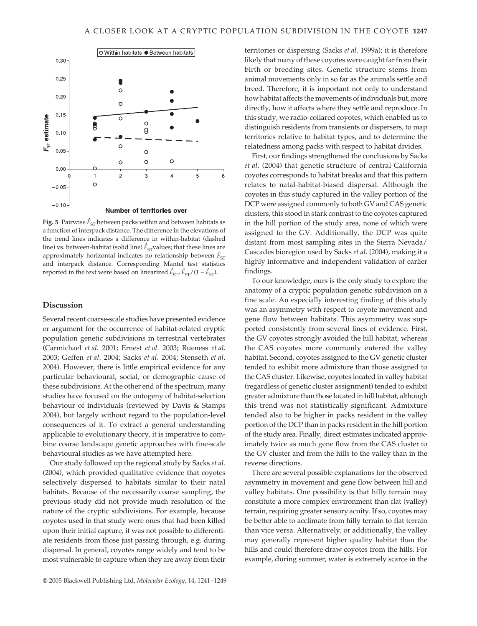

**Fig. 5** Pairwise  $\hat{F}_{ST}$  between packs within and between habitats as a function of interpack distance. The difference in the elevations of the trend lines indicates a difference in within-habitat (dashed line) vs. between-habitat (solid line)  $\hat{F}_{ST}$ values; that these lines are approximately horizontal indicates no relationship between  $\hat{F}_{ST}$ and interpack distance. Corresponding Mantel test statistics reported in the text were based on linearized  $\vec{F}_{ST}$ ,  $\vec{F}_{ST}/(1 - \vec{F}_{ST})$ .

#### **Discussion**

Several recent coarse-scale studies have presented evidence or argument for the occurrence of habitat-related cryptic population genetic subdivisions in terrestrial vertebrates (Carmichael *et al*. 2001; Ernest *et al*. 2003; Rueness *et al*. 2003; Geffen *et al*. 2004; Sacks *et al*. 2004; Stenseth *et al*. 2004). However, there is little empirical evidence for any particular behavioural, social, or demographic cause of these subdivisions. At the other end of the spectrum, many studies have focused on the ontogeny of habitat-selection behaviour of individuals (reviewed by Davis & Stamps 2004), but largely without regard to the population-level consequences of it. To extract a general understanding applicable to evolutionary theory, it is imperative to combine coarse landscape genetic approaches with fine-scale behavioural studies as we have attempted here.

Our study followed up the regional study by Sacks *et al*. (2004), which provided qualitative evidence that coyotes selectively dispersed to habitats similar to their natal habitats. Because of the necessarily coarse sampling, the previous study did not provide much resolution of the nature of the cryptic subdivisions. For example, because coyotes used in that study were ones that had been killed upon their initial capture, it was not possible to differentiate residents from those just passing through, e.g. during dispersal. In general, coyotes range widely and tend to be most vulnerable to capture when they are away from their territories or dispersing (Sacks *et al*. 1999a); it is therefore likely that many of these coyotes were caught far from their birth or breeding sites. Genetic structure stems from animal movements only in so far as the animals settle and breed. Therefore, it is important not only to understand how habitat affects the movements of individuals but, more directly, how it affects where they settle and reproduce. In this study, we radio-collared coyotes, which enabled us to distinguish residents from transients or dispersers, to map territories relative to habitat types, and to determine the relatedness among packs with respect to habitat divides.

First, our findings strengthened the conclusions by Sacks *et al*. (2004) that genetic structure of central California coyotes corresponds to habitat breaks and that this pattern relates to natal-habitat-biased dispersal. Although the coyotes in this study captured in the valley portion of the DCP were assigned commonly to both GV and CAS genetic clusters, this stood in stark contrast to the coyotes captured in the hill portion of the study area, none of which were assigned to the GV. Additionally, the DCP was quite distant from most sampling sites in the Sierra Nevada/ Cascades bioregion used by Sacks *et al*. (2004), making it a highly informative and independent validation of earlier findings.

To our knowledge, ours is the only study to explore the anatomy of a cryptic population genetic subdivision on a fine scale. An especially interesting finding of this study was an asymmetry with respect to coyote movement and gene flow between habitats. This asymmetry was supported consistently from several lines of evidence. First, the GV coyotes strongly avoided the hill habitat, whereas the CAS coyotes more commonly entered the valley habitat. Second, coyotes assigned to the GV genetic cluster tended to exhibit more admixture than those assigned to the CAS cluster. Likewise, coyotes located in valley habitat (regardless of genetic cluster assignment) tended to exhibit greater admixture than those located in hill habitat, although this trend was not statistically significant. Admixture tended also to be higher in packs resident in the valley portion of the DCP than in packs resident in the hill portion of the study area. Finally, direct estimates indicated approximately twice as much gene flow from the CAS cluster to the GV cluster and from the hills to the valley than in the reverse directions.

There are several possible explanations for the observed asymmetry in movement and gene flow between hill and valley habitats. One possibility is that hilly terrain may constitute a more complex environment than flat (valley) terrain, requiring greater sensory acuity. If so, coyotes may be better able to acclimate from hilly terrain to flat terrain than vice versa. Alternatively, or additionally, the valley may generally represent higher quality habitat than the hills and could therefore draw coyotes from the hills. For example, during summer, water is extremely scarce in the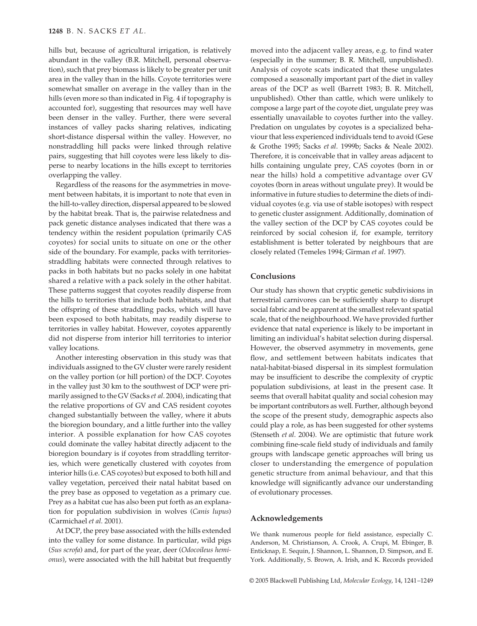hills but, because of agricultural irrigation, is relatively abundant in the valley (B.R. Mitchell, personal observation), such that prey biomass is likely to be greater per unit area in the valley than in the hills. Coyote territories were somewhat smaller on average in the valley than in the hills (even more so than indicated in Fig. 4 if topography is accounted for), suggesting that resources may well have been denser in the valley. Further, there were several instances of valley packs sharing relatives, indicating short-distance dispersal within the valley. However, no nonstraddling hill packs were linked through relative pairs, suggesting that hill coyotes were less likely to disperse to nearby locations in the hills except to territories overlapping the valley.

Regardless of the reasons for the asymmetries in movement between habitats, it is important to note that even in the hill-to-valley direction, dispersal appeared to be slowed by the habitat break. That is, the pairwise relatedness and pack genetic distance analyses indicated that there was a tendency within the resident population (primarily CAS coyotes) for social units to situate on one or the other side of the boundary. For example, packs with territoriesstraddling habitats were connected through relatives to packs in both habitats but no packs solely in one habitat shared a relative with a pack solely in the other habitat. These patterns suggest that coyotes readily disperse from the hills to territories that include both habitats, and that the offspring of these straddling packs, which will have been exposed to both habitats, may readily disperse to territories in valley habitat. However, coyotes apparently did not disperse from interior hill territories to interior valley locations.

Another interesting observation in this study was that individuals assigned to the GV cluster were rarely resident on the valley portion (or hill portion) of the DCP. Coyotes in the valley just 30 km to the southwest of DCP were primarily assigned to the GV (Sacks *et al*. 2004), indicating that the relative proportions of GV and CAS resident coyotes changed substantially between the valley, where it abuts the bioregion boundary, and a little further into the valley interior. A possible explanation for how CAS coyotes could dominate the valley habitat directly adjacent to the bioregion boundary is if coyotes from straddling territories, which were genetically clustered with coyotes from interior hills (i.e. CAS coyotes) but exposed to both hill and valley vegetation, perceived their natal habitat based on the prey base as opposed to vegetation as a primary cue. Prey as a habitat cue has also been put forth as an explanation for population subdivision in wolves (*Canis lupus*) (Carmichael *et al*. 2001).

At DCP, the prey base associated with the hills extended into the valley for some distance. In particular, wild pigs (*Sus scrofa*) and, for part of the year, deer (*Odocoileus hemionus*), were associated with the hill habitat but frequently

moved into the adjacent valley areas, e.g. to find water (especially in the summer; B. R. Mitchell, unpublished). Analysis of coyote scats indicated that these ungulates composed a seasonally important part of the diet in valley areas of the DCP as well (Barrett 1983; B. R. Mitchell, unpublished). Other than cattle, which were unlikely to compose a large part of the coyote diet, ungulate prey was essentially unavailable to coyotes further into the valley. Predation on ungulates by coyotes is a specialized behaviour that less experienced individuals tend to avoid (Gese & Grothe 1995; Sacks *et al*. 1999b; Sacks & Neale 2002). Therefore, it is conceivable that in valley areas adjacent to hills containing ungulate prey, CAS coyotes (born in or near the hills) hold a competitive advantage over GV coyotes (born in areas without ungulate prey). It would be informative in future studies to determine the diets of individual coyotes (e.g. via use of stable isotopes) with respect to genetic cluster assignment. Additionally, domination of the valley section of the DCP by CAS coyotes could be reinforced by social cohesion if, for example, territory establishment is better tolerated by neighbours that are closely related (Temeles 1994; Girman *et al*. 1997).

#### **Conclusions**

Our study has shown that cryptic genetic subdivisions in terrestrial carnivores can be sufficiently sharp to disrupt social fabric and be apparent at the smallest relevant spatial scale, that of the neighbourhood. We have provided further evidence that natal experience is likely to be important in limiting an individual's habitat selection during dispersal. However, the observed asymmetry in movements, gene flow, and settlement between habitats indicates that natal-habitat-biased dispersal in its simplest formulation may be insufficient to describe the complexity of cryptic population subdivisions, at least in the present case. It seems that overall habitat quality and social cohesion may be important contributors as well. Further, although beyond the scope of the present study, demographic aspects also could play a role, as has been suggested for other systems (Stenseth *et al*. 2004). We are optimistic that future work combining fine-scale field study of individuals and family groups with landscape genetic approaches will bring us closer to understanding the emergence of population genetic structure from animal behaviour, and that this knowledge will significantly advance our understanding of evolutionary processes.

#### **Acknowledgements**

We thank numerous people for field assistance, especially C. Anderson, M. Christianson, A. Crook, A. Crupi, M. Ebinger, B. Enticknap, E. Sequin, J. Shannon, L. Shannon, D. Simpson, and E. York. Additionally, S. Brown, A. Irish, and K. Records provided